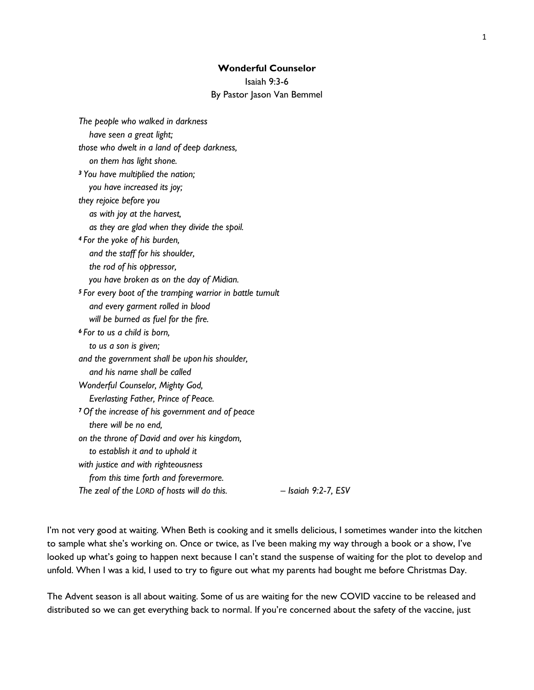# **Wonderful Counselor**

Isaiah 9:3-6

#### By Pastor Jason Van Bemmel

I'm not very good at waiting. When Beth is cooking and it smells delicious, I sometimes wander into the kitchen to sample what she's working on. Once or twice, as I've been making my way through a book or a show, I've looked up what's going to happen next because I can't stand the suspense of waiting for the plot to develop and unfold. When I was a kid, I used to try to figure out what my parents had bought me before Christmas Day.

The Advent season is all about waiting. Some of us are waiting for the new COVID vaccine to be released and distributed so we can get everything back to normal. If you're concerned about the safety of the vaccine, just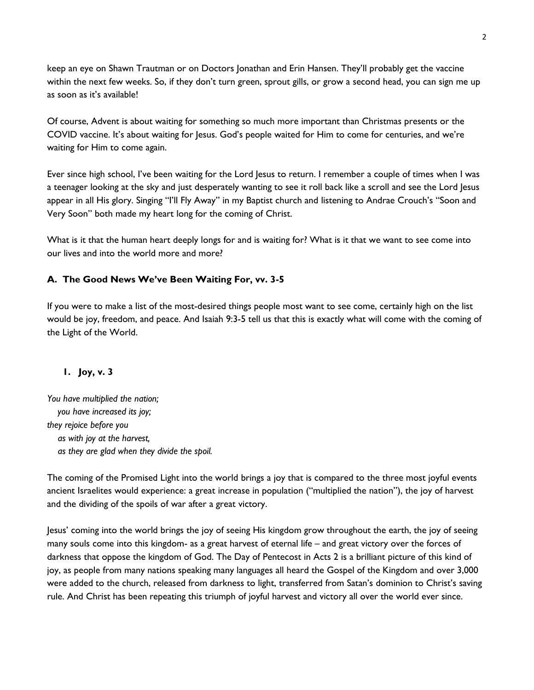keep an eye on Shawn Trautman or on Doctors Jonathan and Erin Hansen. They'll probably get the vaccine within the next few weeks. So, if they don't turn green, sprout gills, or grow a second head, you can sign me up as soon as it's available!

Of course, Advent is about waiting for something so much more important than Christmas presents or the COVID vaccine. It's about waiting for Jesus. God's people waited for Him to come for centuries, and we're waiting for Him to come again.

Ever since high school, I've been waiting for the Lord Jesus to return. I remember a couple of times when I was a teenager looking at the sky and just desperately wanting to see it roll back like a scroll and see the Lord Jesus appear in all His glory. Singing "I'll Fly Away" in my Baptist church and listening to Andrae Crouch's "Soon and Very Soon" both made my heart long for the coming of Christ.

What is it that the human heart deeply longs for and is waiting for? What is it that we want to see come into our lives and into the world more and more?

# **A. The Good News We've Been Waiting For, vv. 3-5**

If you were to make a list of the most-desired things people most want to see come, certainly high on the list would be joy, freedom, and peace. And Isaiah 9:3-5 tell us that this is exactly what will come with the coming of the Light of the World.

# **1. Joy, v. 3**

*You have multiplied the nation; you have increased its joy; they rejoice before you as with joy at the harvest, as they are glad when they divide the spoil.*

The coming of the Promised Light into the world brings a joy that is compared to the three most joyful events ancient Israelites would experience: a great increase in population ("multiplied the nation"), the joy of harvest and the dividing of the spoils of war after a great victory.

Jesus' coming into the world brings the joy of seeing His kingdom grow throughout the earth, the joy of seeing many souls come into this kingdom- as a great harvest of eternal life – and great victory over the forces of darkness that oppose the kingdom of God. The Day of Pentecost in Acts 2 is a brilliant picture of this kind of joy, as people from many nations speaking many languages all heard the Gospel of the Kingdom and over 3,000 were added to the church, released from darkness to light, transferred from Satan's dominion to Christ's saving rule. And Christ has been repeating this triumph of joyful harvest and victory all over the world ever since.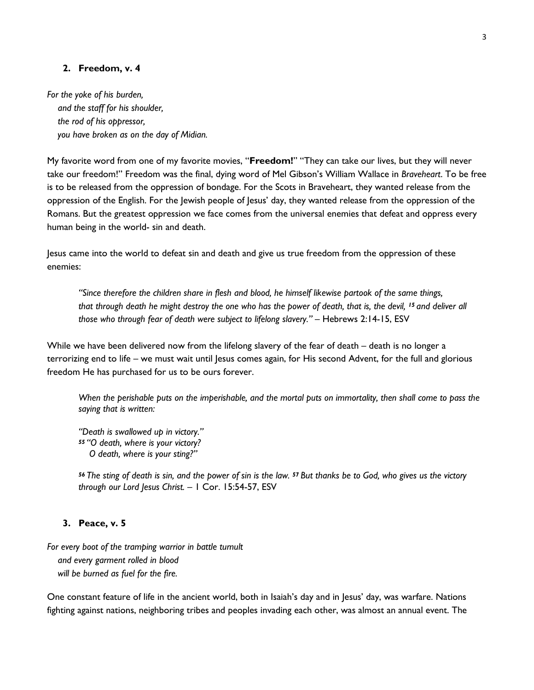#### **2. Freedom, v. 4**

*For the yoke of his burden, and the staff for his shoulder, the rod of his oppressor, you have broken as on the day of Midian.*

My favorite word from one of my favorite movies, "**Freedom!**" "They can take our lives, but they will never take our freedom!" Freedom was the final, dying word of Mel Gibson's William Wallace in *Braveheart*. To be free is to be released from the oppression of bondage. For the Scots in Braveheart, they wanted release from the oppression of the English. For the Jewish people of Jesus' day, they wanted release from the oppression of the Romans. But the greatest oppression we face comes from the universal enemies that defeat and oppress every human being in the world- sin and death.

Jesus came into the world to defeat sin and death and give us true freedom from the oppression of these enemies:

*"Since therefore the children share in flesh and blood, he himself likewise partook of the same things, that through death he might destroy the one who has the power of death, that is, the devil, <sup>15</sup> and deliver all those who through fear of death were subject to lifelong slavery."* – Hebrews 2:14-15, ESV

While we have been delivered now from the lifelong slavery of the fear of death – death is no longer a terrorizing end to life – we must wait until Jesus comes again, for His second Advent, for the full and glorious freedom He has purchased for us to be ours forever.

*When the perishable puts on the imperishable, and the mortal puts on immortality, then shall come to pass the saying that is written:*

*"Death is swallowed up in victory." <sup>55</sup> "O death, where is your victory? O death, where is your sting?"*

*<sup>56</sup> The sting of death is sin, and the power of sin is the law. <sup>57</sup> But thanks be to God, who gives us the victory through our Lord Jesus Christ.* – 1 Cor. 15:54-57, ESV

#### **3. Peace, v. 5**

*For every boot of the tramping warrior in battle tumult and every garment rolled in blood will be burned as fuel for the fire.*

One constant feature of life in the ancient world, both in Isaiah's day and in Jesus' day, was warfare. Nations fighting against nations, neighboring tribes and peoples invading each other, was almost an annual event. The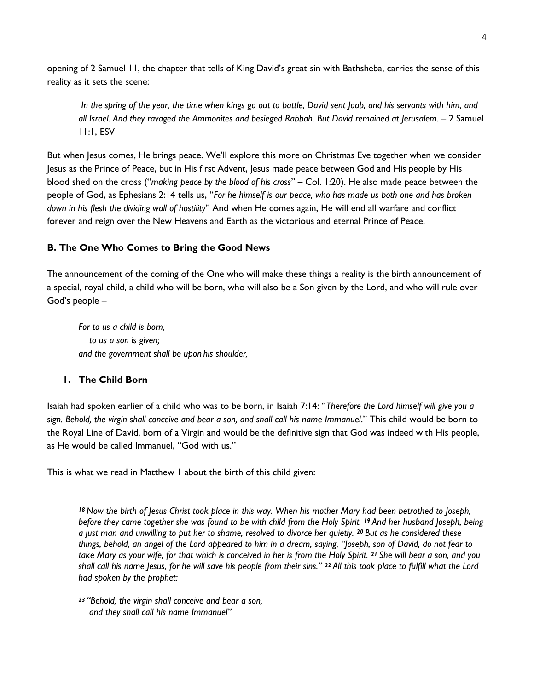opening of 2 Samuel 11, the chapter that tells of King David's great sin with Bathsheba, carries the sense of this reality as it sets the scene:

*In the spring of the year, the time when kings go out to battle, David sent Joab, and his servants with him, and all Israel. And they ravaged the Ammonites and besieged Rabbah. But David remained at Jerusalem.* – 2 Samuel 11:1, ESV

But when Jesus comes, He brings peace. We'll explore this more on Christmas Eve together when we consider Jesus as the Prince of Peace, but in His first Advent, Jesus made peace between God and His people by His blood shed on the cross ("*making peace by the blood of his cross*" – Col. 1:20). He also made peace between the people of God, as Ephesians 2:14 tells us, "*For he himself is our peace, who has made us both one and has broken down in his flesh the dividing wall of hostility*" And when He comes again, He will end all warfare and conflict forever and reign over the New Heavens and Earth as the victorious and eternal Prince of Peace.

# **B. The One Who Comes to Bring the Good News**

The announcement of the coming of the One who will make these things a reality is the birth announcement of a special, royal child, a child who will be born, who will also be a Son given by the Lord, and who will rule over God's people –

*For to us a child is born, to us a son is given; and the government shall be upon his shoulder,*

#### **1. The Child Born**

Isaiah had spoken earlier of a child who was to be born, in Isaiah 7:14: "*Therefore the Lord himself will give you a sign. Behold, the virgin shall conceive and bear a son, and shall call his name Immanuel*." This child would be born to the Royal Line of David, born of a Virgin and would be the definitive sign that God was indeed with His people, as He would be called Immanuel, "God with us."

This is what we read in Matthew 1 about the birth of this child given:

*<sup>18</sup> Now the birth of Jesus Christ took place in this way. When his mother Mary had been betrothed to Joseph, before they came together she was found to be with child from the Holy Spirit. <sup>19</sup> And her husband Joseph, being a just man and unwilling to put her to shame, resolved to divorce her quietly. <sup>20</sup> But as he considered these things, behold, an angel of the Lord appeared to him in a dream, saying, "Joseph, son of David, do not fear to take Mary as your wife, for that which is conceived in her is from the Holy Spirit. <sup>21</sup> She will bear a son, and you shall call his name Jesus, for he will save his people from their sins." <sup>22</sup> All this took place to fulfill what the Lord had spoken by the prophet:*

*<sup>23</sup> "Behold, the virgin shall conceive and bear a son, and they shall call his name Immanuel"*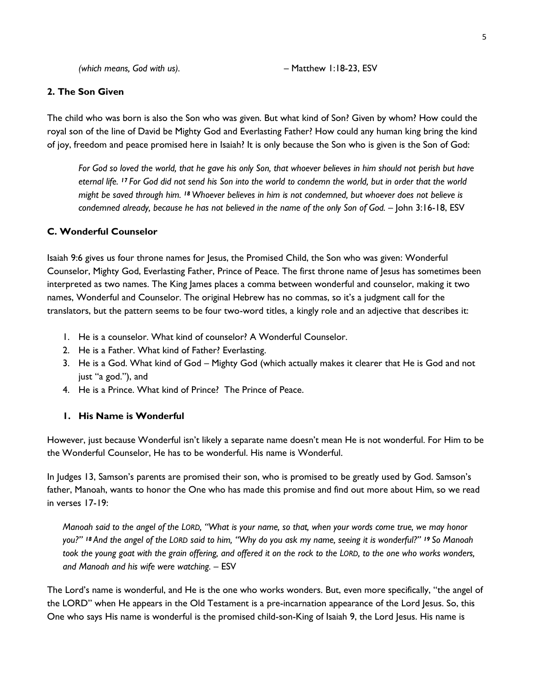#### **2. The Son Given**

The child who was born is also the Son who was given. But what kind of Son? Given by whom? How could the royal son of the line of David be Mighty God and Everlasting Father? How could any human king bring the kind of joy, freedom and peace promised here in Isaiah? It is only because the Son who is given is the Son of God:

*For God so loved the world, that he gave his only Son, that whoever believes in him should not perish but have eternal life. <sup>17</sup> For God did not send his Son into the world to condemn the world, but in order that the world might be saved through him. <sup>18</sup> Whoever believes in him is not condemned, but whoever does not believe is condemned already, because he has not believed in the name of the only Son of God.* – John 3:16-18, ESV

### **C. Wonderful Counselor**

Isaiah 9:6 gives us four throne names for Jesus, the Promised Child, the Son who was given: Wonderful Counselor, Mighty God, Everlasting Father, Prince of Peace. The first throne name of Jesus has sometimes been interpreted as two names. The King James places a comma between wonderful and counselor, making it two names, Wonderful and Counselor. The original Hebrew has no commas, so it's a judgment call for the translators, but the pattern seems to be four two-word titles, a kingly role and an adjective that describes it:

- 1. He is a counselor. What kind of counselor? A Wonderful Counselor.
- 2. He is a Father. What kind of Father? Everlasting.
- 3. He is a God. What kind of God Mighty God (which actually makes it clearer that He is God and not just "a god."), and
- 4. He is a Prince. What kind of Prince? The Prince of Peace.

# **1. His Name is Wonderful**

However, just because Wonderful isn't likely a separate name doesn't mean He is not wonderful. For Him to be the Wonderful Counselor, He has to be wonderful. His name is Wonderful.

In Judges 13, Samson's parents are promised their son, who is promised to be greatly used by God. Samson's father, Manoah, wants to honor the One who has made this promise and find out more about Him, so we read in verses 17-19:

*Manoah said to the angel of the LORD, "What is your name, so that, when your words come true, we may honor you?" <sup>18</sup> And the angel of the LORD said to him, "Why do you ask my name, seeing it is wonderful?" <sup>19</sup> So Manoah took the young goat with the grain offering, and offered it on the rock to the LORD, to the one who works wonders, and Manoah and his wife were watching.* – ESV

The Lord's name is wonderful, and He is the one who works wonders. But, even more specifically, "the angel of the LORD" when He appears in the Old Testament is a pre-incarnation appearance of the Lord Jesus. So, this One who says His name is wonderful is the promised child-son-King of Isaiah 9, the Lord Jesus. His name is